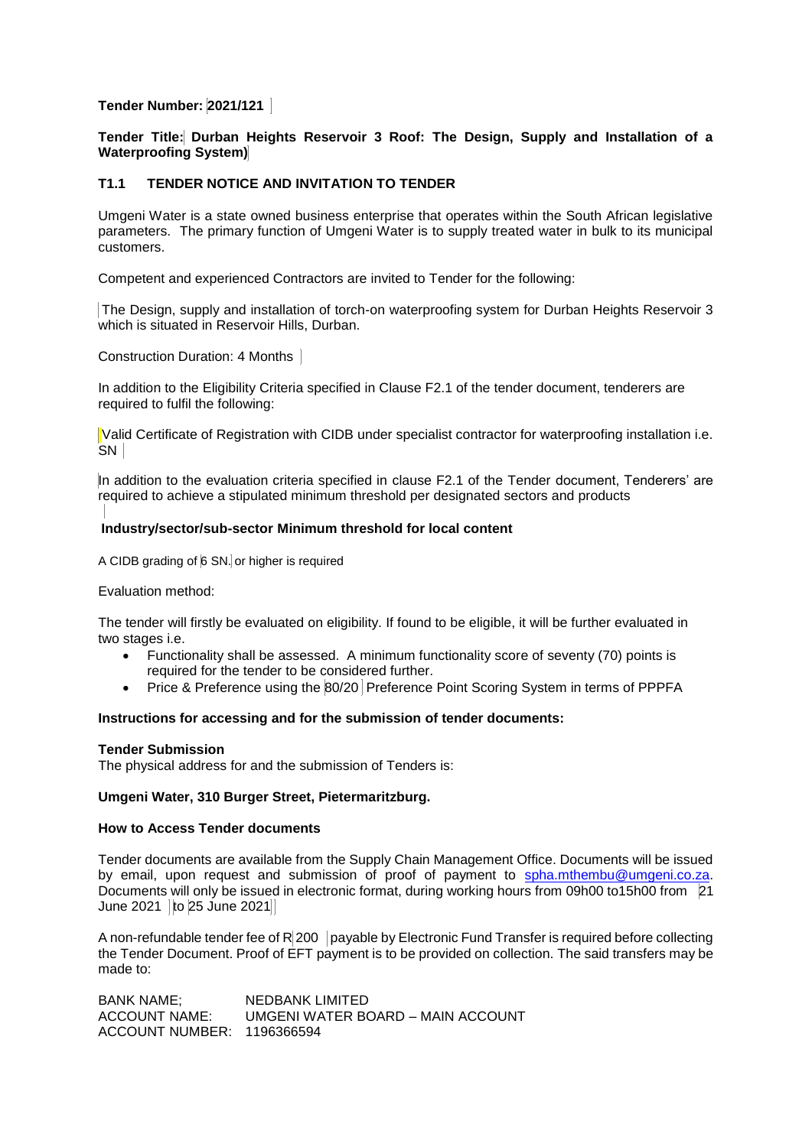# **Tender Number: 2021/121**

**Tender Title: Durban Heights Reservoir 3 Roof: The Design, Supply and Installation of a Waterproofing System)**

# **T1.1 TENDER NOTICE AND INVITATION TO TENDER**

Umgeni Water is a state owned business enterprise that operates within the South African legislative parameters. The primary function of Umgeni Water is to supply treated water in bulk to its municipal customers.

Competent and experienced Contractors are invited to Tender for the following:

The Design, supply and installation of torch-on waterproofing system for Durban Heights Reservoir 3 which is situated in Reservoir Hills, Durban.

Construction Duration: 4 Months

In addition to the Eligibility Criteria specified in Clause F2.1 of the tender document, tenderers are required to fulfil the following:

Valid Certificate of Registration with CIDB under specialist contractor for waterproofing installation i.e. SN |

In addition to the evaluation criteria specified in clause F2.1 of the Tender document, Tenderers' are required to achieve a stipulated minimum threshold per designated sectors and products

## **Industry/sector/sub-sector Minimum threshold for local content**

A CIDB grading of 6 SN. or higher is required

### Evaluation method:

The tender will firstly be evaluated on eligibility. If found to be eligible, it will be further evaluated in two stages *i.e.* 

- Functionality shall be assessed. A minimum functionality score of seventy (70) points is required for the tender to be considered further.
- Price & Preference using the 80/20 Preference Point Scoring System in terms of PPPFA

### **Instructions for accessing and for the submission of tender documents:**

### **Tender Submission**

The physical address for and the submission of Tenders is:

# **Umgeni Water, 310 Burger Street, Pietermaritzburg.**

## **How to Access Tender documents**

Tender documents are available from the Supply Chain Management Office. Documents will be issued by email, upon request and submission of proof of payment to [spha.mthembu@umgeni.co.za.](mailto:spha.mthembu@umgeni.co.za) Documents will only be issued in electronic format, during working hours from 09h00 to15h00 from 21 June 2021  $|$  to 25 June 2021 $|$ 

A non-refundable tender fee of  $R$  200 payable by Electronic Fund Transfer is required before collecting the Tender Document. Proof of EFT payment is to be provided on collection. The said transfers may be made to:

BANK NAME; NEDBANK LIMITED ACCOUNT NAME: UMGENI WATER BOARD – MAIN ACCOUNT ACCOUNT NUMBER: 1196366594